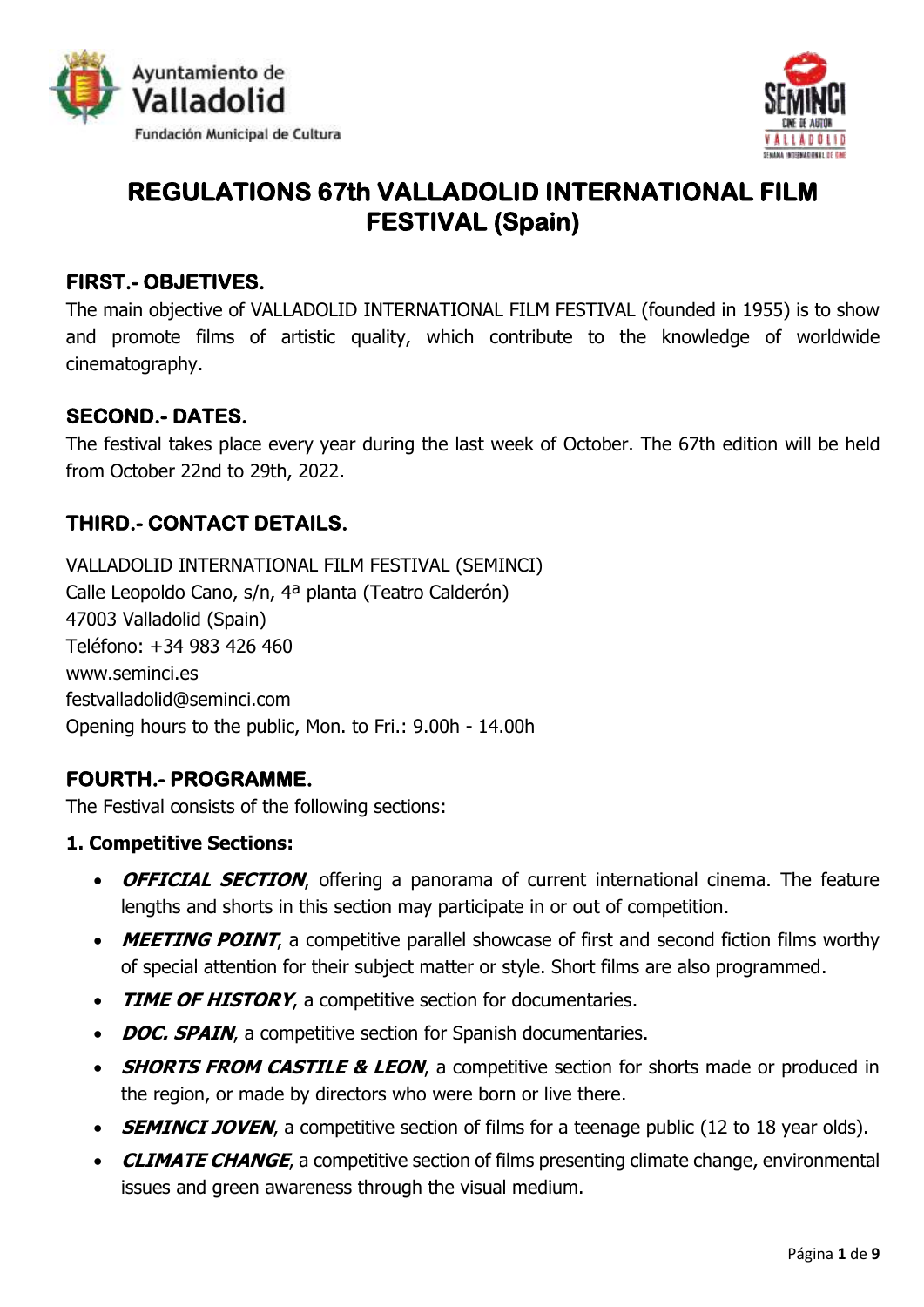



# **REGULATIONS 67th VALLADOLID INTERNATIONAL FILM FESTIVAL (Spain)**

### **FIRST.- OBJETIVES.**

The main objective of VALLADOLID INTERNATIONAL FILM FESTIVAL (founded in 1955) is to show and promote films of artistic quality, which contribute to the knowledge of worldwide cinematography.

### **SECOND.- DATES.**

The festival takes place every year during the last week of October. The 67th edition will be held from October 22nd to 29th, 2022.

### **THIRD.- CONTACT DETAILS.**

VALLADOLID INTERNATIONAL FILM FESTIVAL (SEMINCI) Calle Leopoldo Cano, s/n, 4ª planta (Teatro Calderón) 47003 Valladolid (Spain) Teléfono: +34 983 426 460 [www.seminci.es](http://seminci.es/reglamento/www.seminci.es) [festvalladolid@seminci.com](http://seminci.es/reglamento/festvalladolid@seminci.com) Opening hours to the public, Mon. to Fri.: 9.00h - 14.00h

### **FOURTH.- PROGRAMME.**

The Festival consists of the following sections:

#### **1. Competitive Sections:**

- **OFFICIAL SECTION**, offering a panorama of current international cinema. The feature lengths and shorts in this section may participate in or out of competition.
- **MEETING POINT**, a competitive parallel showcase of first and second fiction films worthy of special attention for their subject matter or style. Short films are also programmed.
- **TIME OF HISTORY**, a competitive section for documentaries.
- **DOC. SPAIN**, a competitive section for Spanish documentaries.
- **SHORTS FROM CASTILE & LEON**, a competitive section for shorts made or produced in the region, or made by directors who were born or live there.
- **SEMINCI JOVEN**, a competitive section of films for a teenage public (12 to 18 year olds).
- **CLIMATE CHANGE**, a competitive section of films presenting climate change, environmental issues and green awareness through the visual medium.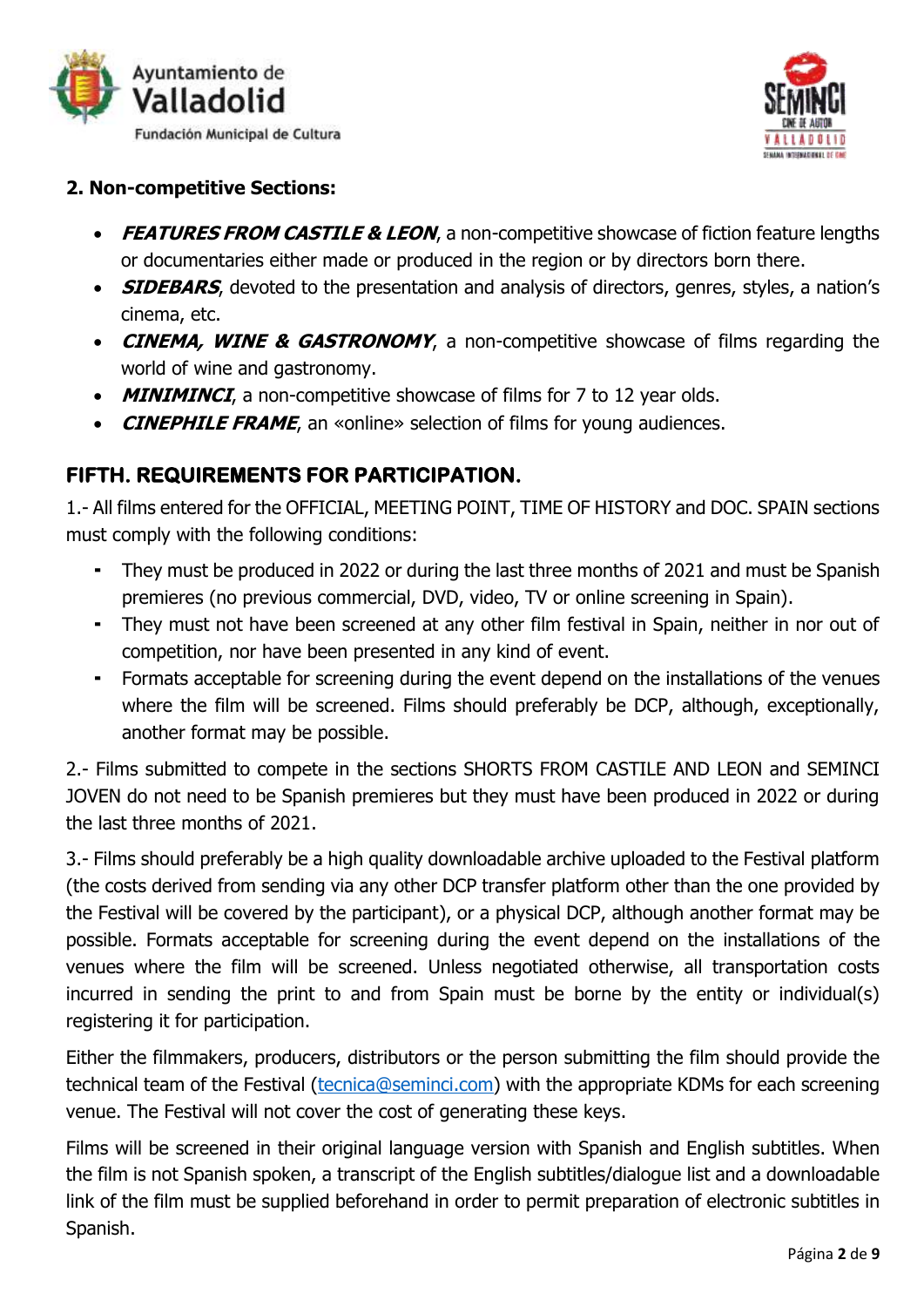



#### **2. Non-competitive Sections:**

- **FEATURES FROM CASTILE & LEON**, a non-competitive showcase of fiction feature lengths or documentaries either made or produced in the region or by directors born there.
- **SIDEBARS**, devoted to the presentation and analysis of directors, genres, styles, a nation's cinema, etc.
- **CINEMA, WINE & GASTRONOMY**, a non-competitive showcase of films regarding the world of wine and gastronomy.
- **MINIMINCI**, a non-competitive showcase of films for 7 to 12 year olds.
- **CINEPHILE FRAME**, an «online» selection of films for young audiences.

### **FIFTH. REQUIREMENTS FOR PARTICIPATION.**

1.- All films entered for the OFFICIAL, MEETING POINT, TIME OF HISTORY and DOC. SPAIN sections must comply with the following conditions:

- They must be produced in 2022 or during the last three months of 2021 and must be Spanish premieres (no previous commercial, DVD, video, TV or online screening in Spain).
- They must not have been screened at any other film festival in Spain, neither in nor out of competition, nor have been presented in any kind of event.
- Formats acceptable for screening during the event depend on the installations of the venues where the film will be screened. Films should preferably be DCP, although, exceptionally, another format may be possible.

2.- Films submitted to compete in the sections SHORTS FROM CASTILE AND LEON and SEMINCI JOVEN do not need to be Spanish premieres but they must have been produced in 2022 or during the last three months of 2021.

3.- Films should preferably be a high quality downloadable archive uploaded to the Festival platform (the costs derived from sending via any other DCP transfer platform other than the one provided by the Festival will be covered by the participant), or a physical DCP, although another format may be possible. Formats acceptable for screening during the event depend on the installations of the venues where the film will be screened. Unless negotiated otherwise, all transportation costs incurred in sending the print to and from Spain must be borne by the entity or individual(s) registering it for participation.

Either the filmmakers, producers, distributors or the person submitting the film should provide the technical team of the Festival [\(tecnica@seminci.com\)](mailto:tecnica@seminci.com) with the appropriate KDMs for each screening venue. The Festival will not cover the cost of generating these keys.

Films will be screened in their original language version with Spanish and English subtitles. When the film is not Spanish spoken, a transcript of the English subtitles/dialogue list and a downloadable link of the film must be supplied beforehand in order to permit preparation of electronic subtitles in Spanish.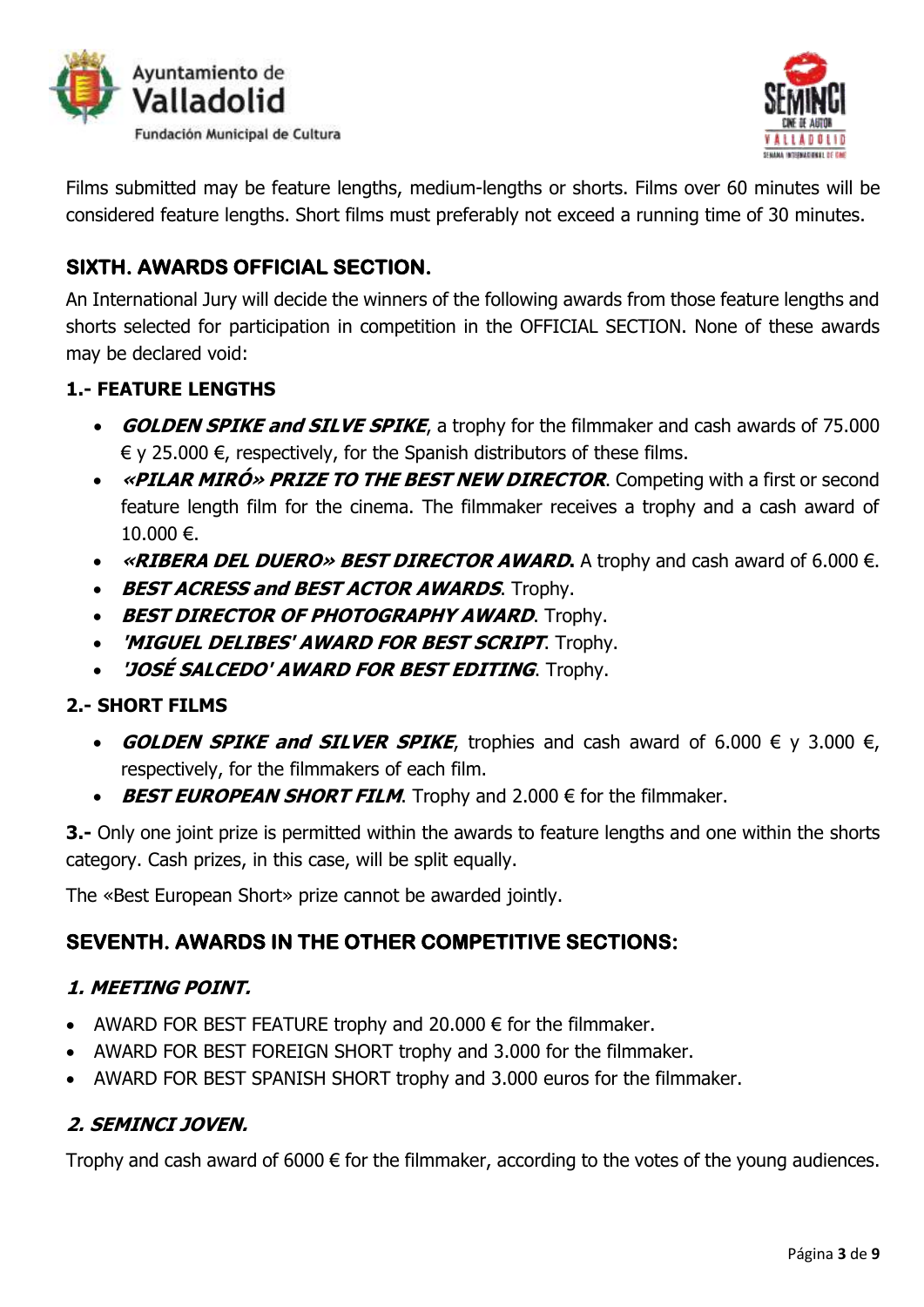



Films submitted may be feature lengths, medium-lengths or shorts. Films over 60 minutes will be considered feature lengths. Short films must preferably not exceed a running time of 30 minutes.

# **SIXTH. AWARDS OFFICIAL SECTION.**

An International Jury will decide the winners of the following awards from those feature lengths and shorts selected for participation in competition in the OFFICIAL SECTION. None of these awards may be declared void:

### **1.- FEATURE LENGTHS**

- **GOLDEN SPIKE and SILVE SPIKE**, a trophy for the filmmaker and cash awards of 75.000  $\epsilon$  y 25.000  $\epsilon$ , respectively, for the Spanish distributors of these films.
- **«PILAR MIRÓ» PRIZE TO THE BEST NEW DIRECTOR**. Competing with a first or second feature length film for the cinema. The filmmaker receives a trophy and a cash award of  $10.000 \in.$
- **«RIBERA DEL DUERO» BEST DIRECTOR AWARD.** A trophy and cash award of 6.000 €.
- **BEST ACRESS and BEST ACTOR AWARDS.** Trophy.
- **BEST DIRECTOR OF PHOTOGRAPHY AWARD.** Trophy.
- **'MIGUEL DELIBES' AWARD FOR BEST SCRIPT**. Trophy.
- **'JOSÉ SALCEDO' AWARD FOR BEST EDITING**. Trophy.

### **2.- SHORT FILMS**

- **GOLDEN SPIKE and SILVER SPIKE**, trophies and cash award of 6.000  $\epsilon$  y 3.000  $\epsilon$ , respectively, for the filmmakers of each film.
- **BEST EUROPEAN SHORT FILM**. Trophy and 2.000 € for the filmmaker.

**3.-** Only one joint prize is permitted within the awards to feature lengths and one within the shorts category. Cash prizes, in this case, will be split equally.

The «Best European Short» prize cannot be awarded jointly.

# **SEVENTH. AWARDS IN THE OTHER COMPETITIVE SECTIONS:**

### **1. MEETING POINT.**

- AWARD FOR BEST FEATURE trophy and 20.000  $\epsilon$  for the filmmaker.
- AWARD FOR BEST FOREIGN SHORT trophy and 3.000 for the filmmaker.
- AWARD FOR BEST SPANISH SHORT trophy and 3.000 euros for the filmmaker.

### **2. SEMINCI JOVEN.**

Trophy and cash award of  $6000 \in$  for the filmmaker, according to the votes of the young audiences.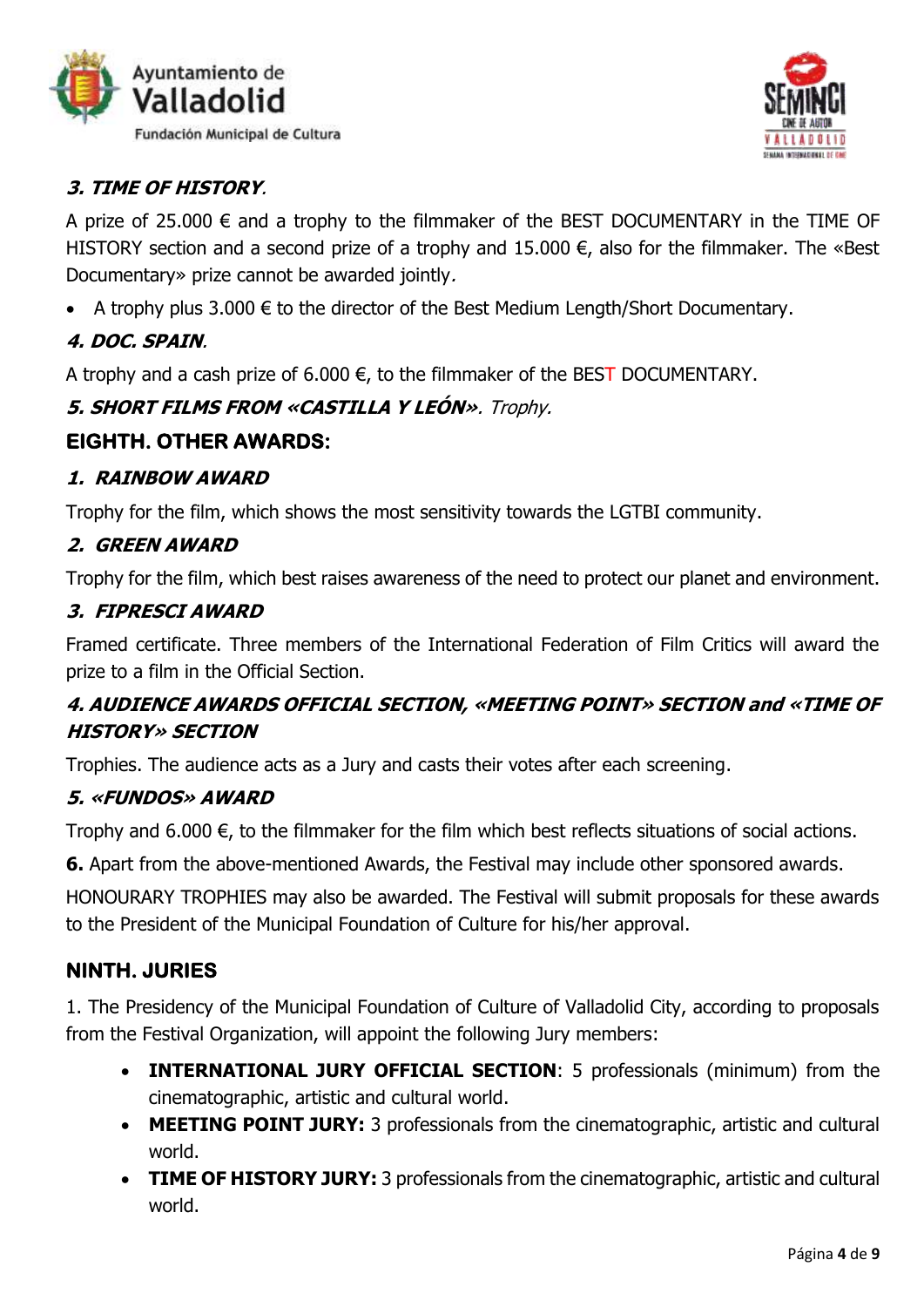



### **3. TIME OF HISTORY**.

A prize of 25.000  $\epsilon$  and a trophy to the filmmaker of the BEST DOCUMENTARY in the TIME OF HISTORY section and a second prize of a trophy and 15.000  $\epsilon$ , also for the filmmaker. The «Best Documentary» prize cannot be awarded jointly.

A trophy plus 3.000  $\epsilon$  to the director of the Best Medium Length/Short Documentary.

### **4. DOC. SPAIN**.

A trophy and a cash prize of 6.000  $\epsilon$ , to the filmmaker of the BEST DOCUMENTARY.

### **5. SHORT FILMS FROM «CASTILLA Y LEÓN»**. Trophy.

### **EIGHTH. OTHER AWARDS:**

#### **1. RAINBOW AWARD**

Trophy for the film, which shows the most sensitivity towards the LGTBI community.

### **2. GREEN AWARD**

Trophy for the film, which best raises awareness of the need to protect our planet and environment.

#### **3. FIPRESCI AWARD**

Framed certificate. Three members of the International Federation of Film Critics will award the prize to a film in the Official Section.

### **4. AUDIENCE AWARDS OFFICIAL SECTION, «MEETING POINT» SECTION and «TIME OF HISTORY» SECTION**

Trophies. The audience acts as a Jury and casts their votes after each screening.

#### **5. «FUNDOS» AWARD**

Trophy and 6.000  $\epsilon$ , to the filmmaker for the film which best reflects situations of social actions.

**6.** Apart from the above-mentioned Awards, the Festival may include other sponsored awards.

HONOURARY TROPHIES may also be awarded. The Festival will submit proposals for these awards to the President of the Municipal Foundation of Culture for his/her approval.

### **NINTH. JURIES**

1. The Presidency of the Municipal Foundation of Culture of Valladolid City, according to proposals from the Festival Organization, will appoint the following Jury members:

- **INTERNATIONAL JURY OFFICIAL SECTION**: 5 professionals (minimum) from the cinematographic, artistic and cultural world.
- **MEETING POINT JURY:** 3 professionals from the cinematographic, artistic and cultural world.
- **TIME OF HISTORY JURY:** 3 professionals from the cinematographic, artistic and cultural world.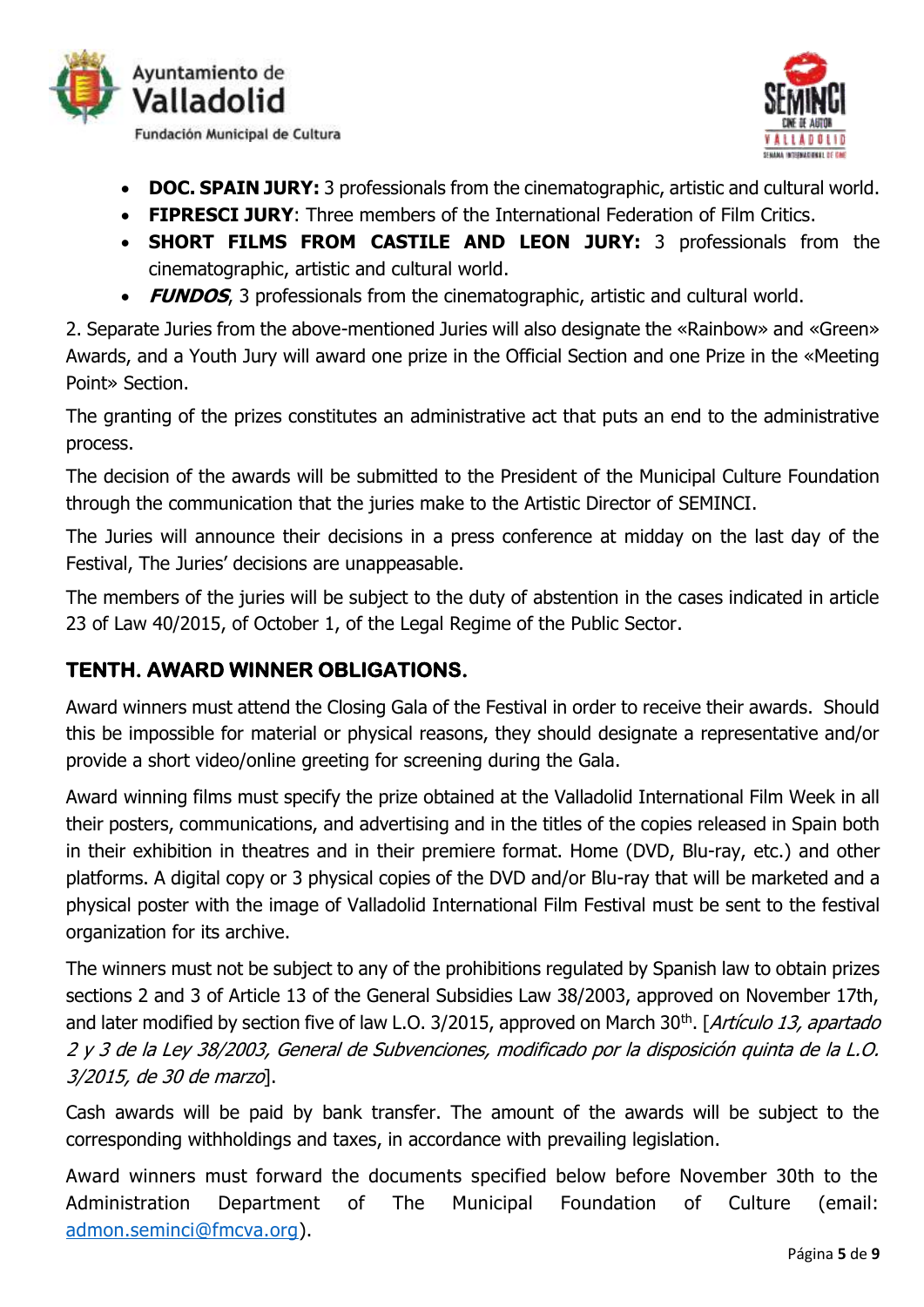



- **DOC. SPAIN JURY:** 3 professionals from the cinematographic, artistic and cultural world.
- **FIPRESCI JURY**: Three members of the International Federation of Film Critics.
- **SHORT FILMS FROM CASTILE AND LEON JURY:** 3 professionals from the cinematographic, artistic and cultural world.
- **FUNDOS**, 3 professionals from the cinematographic, artistic and cultural world.

2. Separate Juries from the above-mentioned Juries will also designate the «Rainbow» and «Green» Awards, and a Youth Jury will award one prize in the Official Section and one Prize in the «Meeting Point» Section.

The granting of the prizes constitutes an administrative act that puts an end to the administrative process.

The decision of the awards will be submitted to the President of the Municipal Culture Foundation through the communication that the juries make to the Artistic Director of SEMINCI.

The Juries will announce their decisions in a press conference at midday on the last day of the Festival, The Juries' decisions are unappeasable.

The members of the juries will be subject to the duty of abstention in the cases indicated in article 23 of Law 40/2015, of October 1, of the Legal Regime of the Public Sector.

# **TENTH. AWARD WINNER OBLIGATIONS.**

Award winners must attend the Closing Gala of the Festival in order to receive their awards. Should this be impossible for material or physical reasons, they should designate a representative and/or provide a short video/online greeting for screening during the Gala.

Award winning films must specify the prize obtained at the Valladolid International Film Week in all their posters, communications, and advertising and in the titles of the copies released in Spain both in their exhibition in theatres and in their premiere format. Home (DVD, Blu-ray, etc.) and other platforms. A digital copy or 3 physical copies of the DVD and/or Blu-ray that will be marketed and a physical poster with the image of Valladolid International Film Festival must be sent to the festival organization for its archive.

The winners must not be subject to any of the prohibitions regulated by Spanish law to obtain prizes sections 2 and 3 of Article 13 of the General Subsidies Law 38/2003, approved on November 17th, and later modified by section five of law L.O. 3/2015, approved on March 30<sup>th</sup>. [*Artículo 13, apartado* 2 y 3 de la Ley 38/2003, General de Subvenciones, modificado por la disposición quinta de la L.O. 3/2015, de 30 de marzo].

Cash awards will be paid by bank transfer. The amount of the awards will be subject to the corresponding withholdings and taxes, in accordance with prevailing legislation.

Award winners must forward the documents specified below before November 30th to the Administration Department of The Municipal Foundation of Culture (email: [admon.seminci@fmcva.org\)](mailto:admon.seminci@fmcva.org).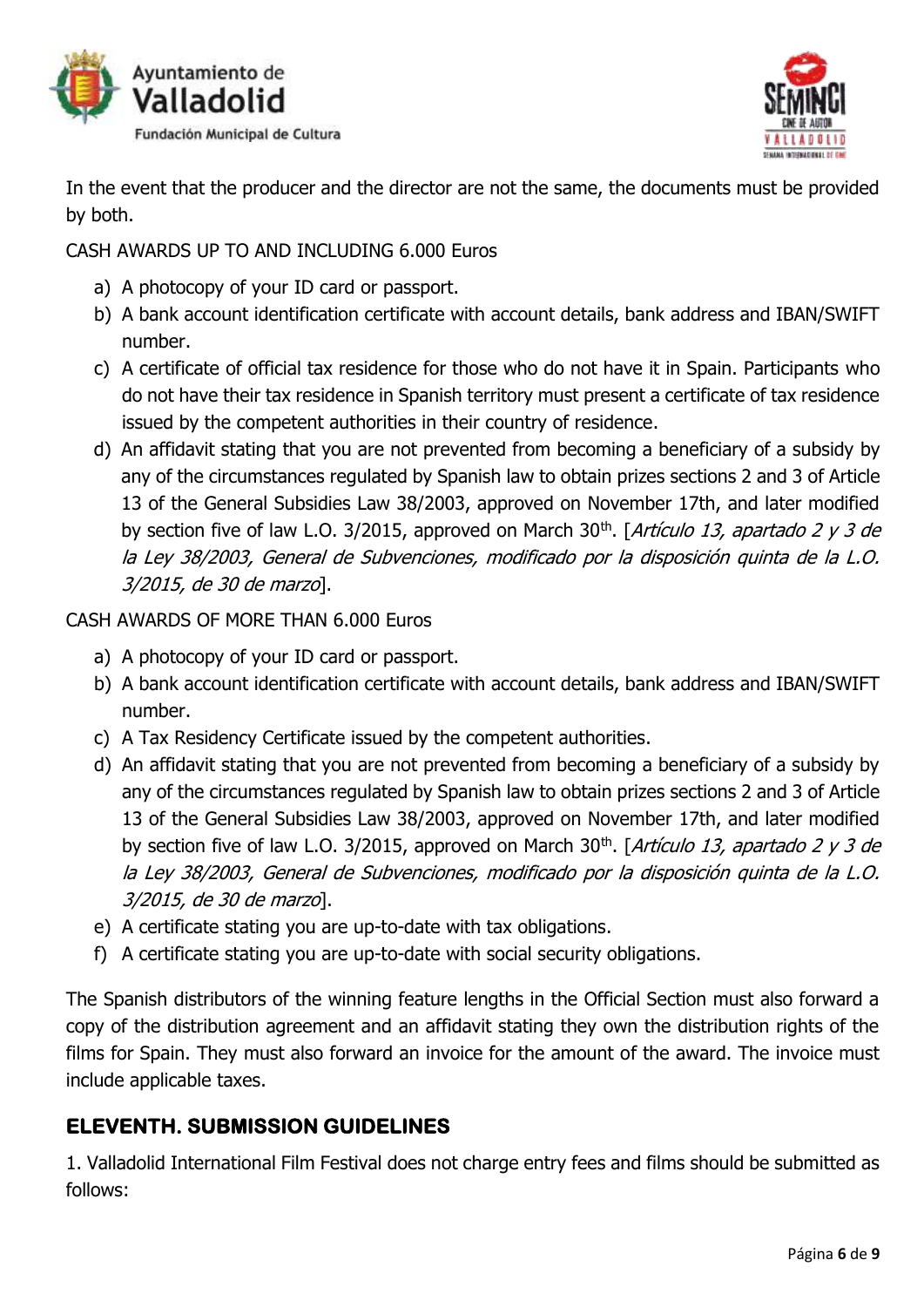



In the event that the producer and the director are not the same, the documents must be provided by both.

CASH AWARDS UP TO AND INCLUDING 6.000 Euros

- a) A photocopy of your ID card or passport.
- b) A bank account identification certificate with account details, bank address and IBAN/SWIFT number.
- c) A certificate of official tax residence for those who do not have it in Spain. Participants who do not have their tax residence in Spanish territory must present a certificate of tax residence issued by the competent authorities in their country of residence.
- d) An affidavit stating that you are not prevented from becoming a beneficiary of a subsidy by any of the circumstances regulated by Spanish law to obtain prizes sections 2 and 3 of Article 13 of the General Subsidies Law 38/2003, approved on November 17th, and later modified by section five of law L.O. 3/2015, approved on March 30<sup>th</sup>. [*Artículo 13, apartado 2 y 3 de* la Ley 38/2003, General de Subvenciones, modificado por la disposición quinta de la L.O. 3/2015, de 30 de marzo].

CASH AWARDS OF MORE THAN 6.000 Euros

- a) A photocopy of your ID card or passport.
- b) A bank account identification certificate with account details, bank address and IBAN/SWIFT number.
- c) A Tax Residency Certificate issued by the competent authorities.
- d) An affidavit stating that you are not prevented from becoming a beneficiary of a subsidy by any of the circumstances regulated by Spanish law to obtain prizes sections 2 and 3 of Article 13 of the General Subsidies Law 38/2003, approved on November 17th, and later modified by section five of law L.O. 3/2015, approved on March 30<sup>th</sup>. [*Artículo 13, apartado 2 y 3 de* la Ley 38/2003, General de Subvenciones, modificado por la disposición quinta de la L.O. 3/2015, de 30 de marzo].
- e) A certificate stating you are up-to-date with tax obligations.
- f) A certificate stating you are up-to-date with social security obligations.

The Spanish distributors of the winning feature lengths in the Official Section must also forward a copy of the distribution agreement and an affidavit stating they own the distribution rights of the films for Spain. They must also forward an invoice for the amount of the award. The invoice must include applicable taxes.

# **ELEVENTH. SUBMISSION GUIDELINES**

1. Valladolid International Film Festival does not charge entry fees and films should be submitted as follows: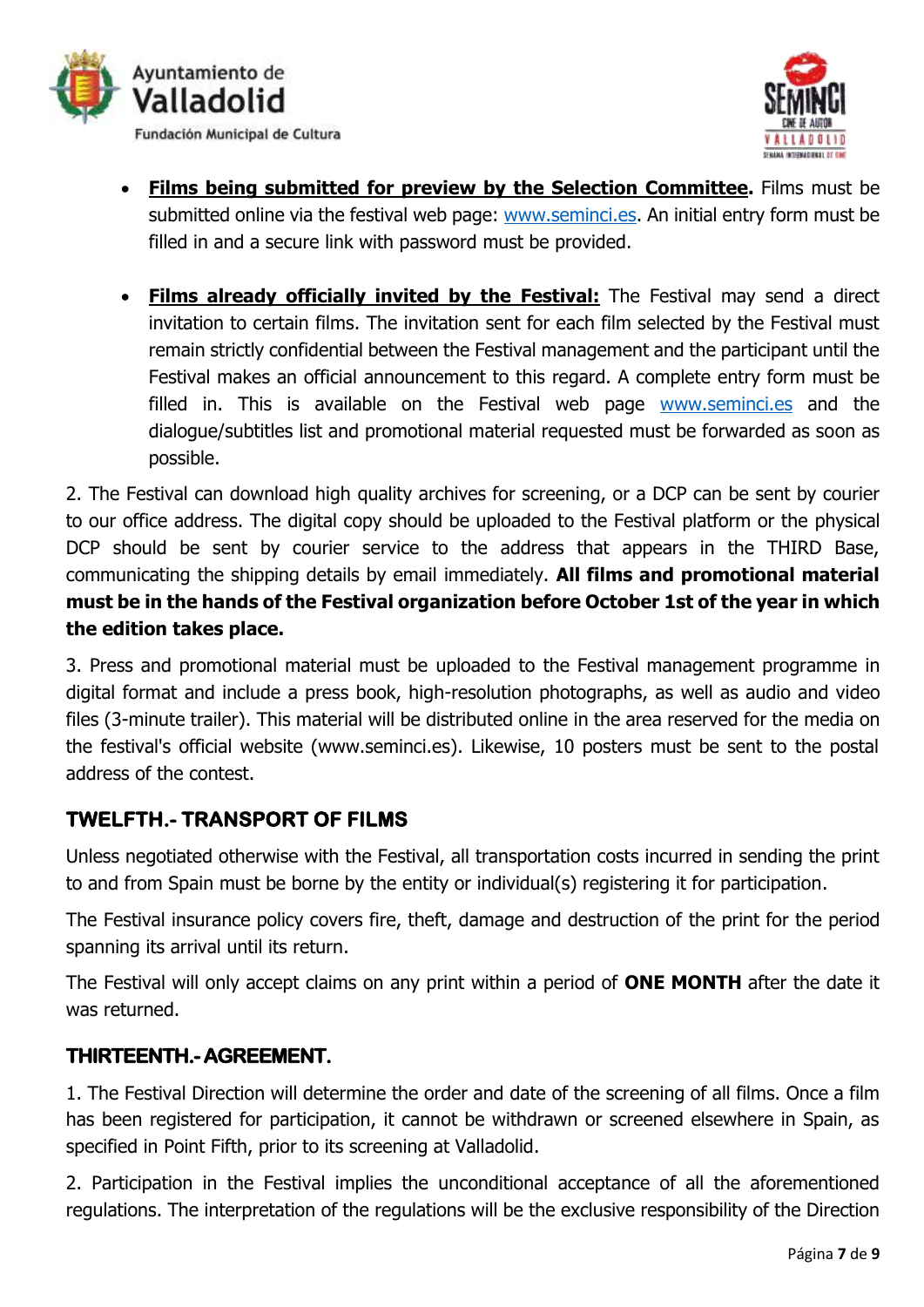



- **Films being submitted for preview by the Selection Committee.** Films must be submitted online via the festival web page: [www.seminci.es.](http://www.seminci.es/) An initial entry form must be filled in and a secure link with password must be provided.
- **Films already officially invited by the Festival:** The Festival may send a direct invitation to certain films. The invitation sent for each film selected by the Festival must remain strictly confidential between the Festival management and the participant until the Festival makes an official announcement to this regard. A complete entry form must be filled in. This is available on the Festival web page [www.seminci.es](http://www.seminci.es/) and the dialogue/subtitles list and promotional material requested must be forwarded as soon as possible.

2. The Festival can download high quality archives for screening, or a DCP can be sent by courier to our office address. The digital copy should be uploaded to the Festival platform or the physical DCP should be sent by courier service to the address that appears in the THIRD Base, communicating the shipping details by email immediately. **All films and promotional material must be in the hands of the Festival organization before October 1st of the year in which the edition takes place.**

3. Press and promotional material must be uploaded to the Festival management programme in digital format and include a press book, high-resolution photographs, as well as audio and video files (3-minute trailer). This material will be distributed online in the area reserved for the media on the festival's official website (www.seminci.es). Likewise, 10 posters must be sent to the postal address of the contest.

# **TWELFTH.- TRANSPORT OF FILMS**

Unless negotiated otherwise with the Festival, all transportation costs incurred in sending the print to and from Spain must be borne by the entity or individual(s) registering it for participation.

The Festival insurance policy covers fire, theft, damage and destruction of the print for the period spanning its arrival until its return.

The Festival will only accept claims on any print within a period of **ONE MONTH** after the date it was returned.

### **THIRTEENTH.- AGREEMENT.**

1. The Festival Direction will determine the order and date of the screening of all films. Once a film has been registered for participation, it cannot be withdrawn or screened elsewhere in Spain, as specified in Point Fifth, prior to its screening at Valladolid.

2. Participation in the Festival implies the unconditional acceptance of all the aforementioned regulations. The interpretation of the regulations will be the exclusive responsibility of the Direction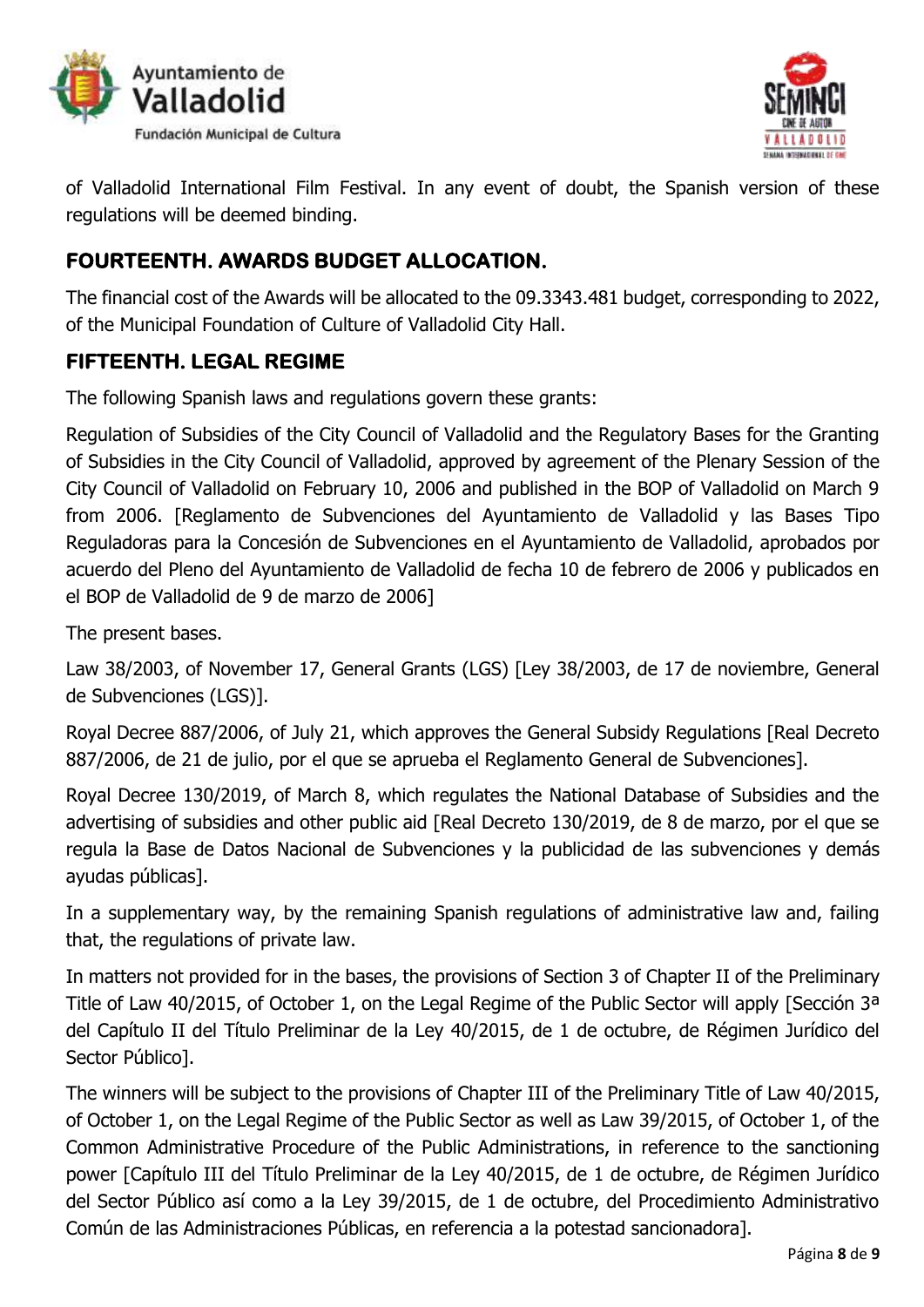



of Valladolid International Film Festival. In any event of doubt, the Spanish version of these regulations will be deemed binding.

# **FOURTEENTH. AWARDS BUDGET ALLOCATION.**

The financial cost of the Awards will be allocated to the 09.3343.481 budget, corresponding to 2022, of the Municipal Foundation of Culture of Valladolid City Hall.

# **FIFTEENTH. LEGAL REGIME**

The following Spanish laws and regulations govern these grants:

Regulation of Subsidies of the City Council of Valladolid and the Regulatory Bases for the Granting of Subsidies in the City Council of Valladolid, approved by agreement of the Plenary Session of the City Council of Valladolid on February 10, 2006 and published in the BOP of Valladolid on March 9 from 2006. [Reglamento de Subvenciones del Ayuntamiento de Valladolid y las Bases Tipo Reguladoras para la Concesión de Subvenciones en el Ayuntamiento de Valladolid, aprobados por acuerdo del Pleno del Ayuntamiento de Valladolid de fecha 10 de febrero de 2006 y publicados en el BOP de Valladolid de 9 de marzo de 2006]

The present bases.

Law 38/2003, of November 17, General Grants (LGS) [Ley 38/2003, de 17 de noviembre, General de Subvenciones (LGS)].

Royal Decree 887/2006, of July 21, which approves the General Subsidy Regulations [Real Decreto 887/2006, de 21 de julio, por el que se aprueba el Reglamento General de Subvenciones].

Royal Decree 130/2019, of March 8, which regulates the National Database of Subsidies and the advertising of subsidies and other public aid [Real Decreto 130/2019, de 8 de marzo, por el que se regula la Base de Datos Nacional de Subvenciones y la publicidad de las subvenciones y demás ayudas públicas].

In a supplementary way, by the remaining Spanish regulations of administrative law and, failing that, the regulations of private law.

In matters not provided for in the bases, the provisions of Section 3 of Chapter II of the Preliminary Title of Law 40/2015, of October 1, on the Legal Regime of the Public Sector will apply [Sección 3<sup>a</sup> del Capítulo II del Título Preliminar de la Ley 40/2015, de 1 de octubre, de Régimen Jurídico del Sector Público].

The winners will be subject to the provisions of Chapter III of the Preliminary Title of Law 40/2015, of October 1, on the Legal Regime of the Public Sector as well as Law 39/2015, of October 1, of the Common Administrative Procedure of the Public Administrations, in reference to the sanctioning power [Capítulo III del Título Preliminar de la Ley 40/2015, de 1 de octubre, de Régimen Jurídico del Sector Público así como a la Ley 39/2015, de 1 de octubre, del Procedimiento Administrativo Común de las Administraciones Públicas, en referencia a la potestad sancionadora].